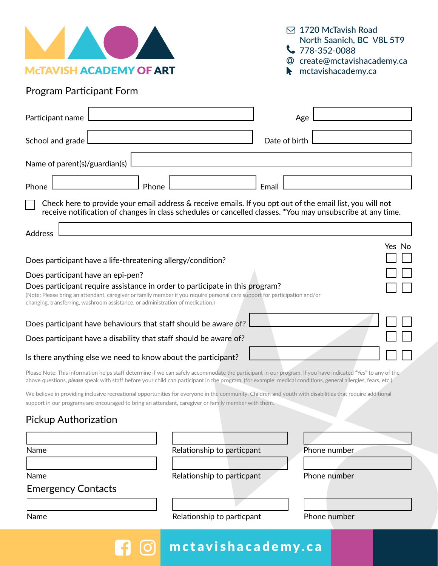

 1720 McTavish Road North Saanich, BC V8L 5T9  $\bigcup$  778-352-0088

- create@mctavishacademy.ca
- **M** mctavishacademy.ca

## Program Participant Form

|                                                                                                                                                                                                                                                                                                                                   | Participant name          |       |                            | Age           |              |  |  |  |
|-----------------------------------------------------------------------------------------------------------------------------------------------------------------------------------------------------------------------------------------------------------------------------------------------------------------------------------|---------------------------|-------|----------------------------|---------------|--------------|--|--|--|
|                                                                                                                                                                                                                                                                                                                                   | School and grade          |       |                            | Date of birth |              |  |  |  |
| Name of parent(s)/guardian(s)                                                                                                                                                                                                                                                                                                     |                           |       |                            |               |              |  |  |  |
| Phone                                                                                                                                                                                                                                                                                                                             |                           | Phone |                            | Email         |              |  |  |  |
| Check here to provide your email address & receive emails. If you opt out of the email list, you will not<br>receive notification of changes in class schedules or cancelled classes. *You may unsubscribe at any time.                                                                                                           |                           |       |                            |               |              |  |  |  |
| Address                                                                                                                                                                                                                                                                                                                           |                           |       |                            |               |              |  |  |  |
| Yes No<br>Does participant have a life-threatening allergy/condition?                                                                                                                                                                                                                                                             |                           |       |                            |               |              |  |  |  |
|                                                                                                                                                                                                                                                                                                                                   |                           |       |                            |               |              |  |  |  |
| Does participant have an epi-pen?<br>Does participant require assistance in order to participate in this program?<br>(Note: Please bring an attendant, caregiver or family member if you require personal care support for participation and/or<br>changing, transferring, washroom assistance, or administration of medication.) |                           |       |                            |               |              |  |  |  |
| Does participant have behaviours that staff should be aware of?<br>Does participant have a disability that staff should be aware of?                                                                                                                                                                                              |                           |       |                            |               |              |  |  |  |
| Is there anything else we need to know about the participant?                                                                                                                                                                                                                                                                     |                           |       |                            |               |              |  |  |  |
| Please Note: This information helps staff determine if we can safely accommodate the participant in our program. If you have indicated "Yes" to any of the<br>above questions, please speak with staff before your child can participant in the program. (for example: medical conditions, general allergies, fears, etc.)        |                           |       |                            |               |              |  |  |  |
| We believe in providing inclusive recreational opportunities for everyone in the community. Children and youth with disabilities that require additional<br>support in our programs are encouraged to bring an attendant, caregiver or family member with them.                                                                   |                           |       |                            |               |              |  |  |  |
| <b>Pickup Authorization</b>                                                                                                                                                                                                                                                                                                       |                           |       |                            |               |              |  |  |  |
|                                                                                                                                                                                                                                                                                                                                   |                           |       |                            |               |              |  |  |  |
| Name                                                                                                                                                                                                                                                                                                                              |                           |       | Relationship to particpant |               | Phone number |  |  |  |
|                                                                                                                                                                                                                                                                                                                                   |                           |       |                            |               |              |  |  |  |
| Name                                                                                                                                                                                                                                                                                                                              |                           |       | Relationship to particpant |               | Phone number |  |  |  |
|                                                                                                                                                                                                                                                                                                                                   | <b>Emergency Contacts</b> |       |                            |               |              |  |  |  |
|                                                                                                                                                                                                                                                                                                                                   |                           |       |                            |               |              |  |  |  |
| Name                                                                                                                                                                                                                                                                                                                              |                           |       | Relationship to particpant |               | Phone number |  |  |  |
|                                                                                                                                                                                                                                                                                                                                   |                           |       | mctavishacademy.ca         |               |              |  |  |  |